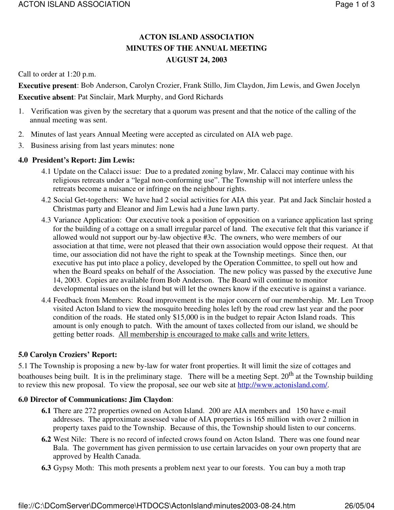# **ACTON ISLAND ASSOCIATION MINUTES OF THE ANNUAL MEETING AUGUST 24, 2003**

Call to order at 1:20 p.m.

**Executive present**: Bob Anderson, Carolyn Crozier, Frank Stillo, Jim Claydon, Jim Lewis, and Gwen Jocelyn **Executive absent**: Pat Sinclair, Mark Murphy, and Gord Richards

- 1. Verification was given by the secretary that a quorum was present and that the notice of the calling of the annual meeting was sent.
- 2. Minutes of last years Annual Meeting were accepted as circulated on AIA web page.
- 3. Business arising from last years minutes: none

## **4.0 President's Report: Jim Lewis:**

- 4.1 Update on the Calacci issue: Due to a predated zoning bylaw, Mr. Calacci may continue with his religious retreats under a "legal non-conforming use". The Township will not interfere unless the retreats become a nuisance or infringe on the neighbour rights.
- 4.2 Social Get-togethers: We have had 2 social activities for AIA this year. Pat and Jack Sinclair hosted a Christmas party and Eleanor and Jim Lewis had a June lawn party.
- 4.3 Variance Application: Our executive took a position of opposition on a variance application last spring for the building of a cottage on a small irregular parcel of land. The executive felt that this variance if allowed would not support our by-law objective #3c. The owners, who were members of our association at that time, were not pleased that their own association would oppose their request. At that time, our association did not have the right to speak at the Township meetings. Since then, our executive has put into place a policy, developed by the Operation Committee, to spell out how and when the Board speaks on behalf of the Association. The new policy was passed by the executive June 14, 2003. Copies are available from Bob Anderson. The Board will continue to monitor developmental issues on the island but will let the owners know if the executive is against a variance.
- 4.4 Feedback from Members: Road improvement is the major concern of our membership. Mr. Len Troop visited Acton Island to view the mosquito breeding holes left by the road crew last year and the poor condition of the roads. He stated only \$15,000 is in the budget to repair Acton Island roads. This amount is only enough to patch. With the amount of taxes collected from our island, we should be getting better roads. All membership is encouraged to make calls and write letters.

# **5.0 Carolyn Croziers' Report:**

5.1 The Township is proposing a new by-law for water front properties. It will limit the size of cottages and boathouses being built. It is in the preliminary stage. There will be a meeting Sept. 20<sup>th</sup> at the Township building to review this new proposal. To view the proposal, see our web site at http://www.actonisland.com/.

## **6.0 Director of Communications: Jim Claydon**:

- **6.1** There are 272 properties owned on Acton Island. 200 are AIA members and 150 have e-mail addresses. The approximate assessed value of AIA properties is 165 million with over 2 million in property taxes paid to the Township. Because of this, the Township should listen to our concerns.
- **6.2** West Nile: There is no record of infected crows found on Acton Island. There was one found near Bala. The government has given permission to use certain larvacides on your own property that are approved by Health Canada.
- **6.3** Gypsy Moth: This moth presents a problem next year to our forests. You can buy a moth trap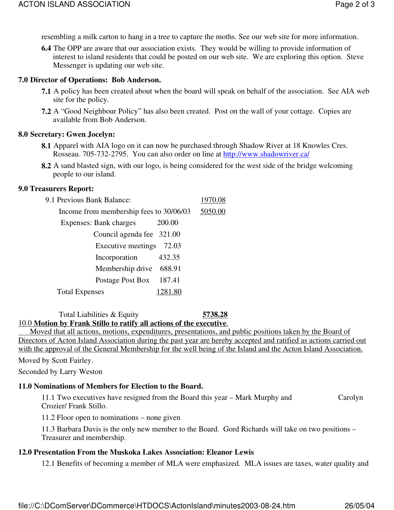resembling a milk carton to hang in a tree to capture the moths. See our web site for more information.

**6.4** The OPP are aware that our association exists. They would be willing to provide information of interest to island residents that could be posted on our web site. We are exploring this option. Steve Messenger is updating our web site.

#### **7.0 Director of Operations: Bob Anderson.**

- **7.1** A policy has been created about when the board will speak on behalf of the association. See AIA web site for the policy.
- **7.2** A "Good Neighbour Policy" has also been created. Post on the wall of your cottage. Copies are available from Bob Anderson.

#### **8.0 Secretary: Gwen Jocelyn:**

- **8.1** Apparel with AIA logo on it can now be purchased through Shadow River at 18 Knowles Cres. Rosseau. 705-732-2795. You can also order on line at http://www.shadowriver.ca/
- **8.2** A sand blasted sign, with our logo, is being considered for the west side of the bridge welcoming people to our island.

#### **9.0 Treasurers Report:**

| 9.1 Previous Bank Balance:              | 1970.08 |
|-----------------------------------------|---------|
| Income from membership fees to 30/06/03 | 5050.00 |
| Expenses: Bank charges<br>200.00        |         |
| Council agenda fee 321.00               |         |
| Executive meetings 72.03                |         |
| 432.35<br>Incorporation                 |         |
| Membership drive 688.91                 |         |
| 187.41<br>Postage Post Box              |         |
| 1281.80<br><b>Total Expenses</b>        |         |

Total Liabilities & Equity **5738.28** 

## 10.0 **Motion by Frank Stillo to ratify all actions of the executive**.

Moved that all actions, motions, expenditures, presentations, and public positions taken by the Board of Directors of Acton Island Association during the past year are hereby accepted and ratified as actions carried out with the approval of the General Membership for the well being of the Island and the Acton Island Association.

#### Moved by Scott Fairley.

Seconded by Larry Weston

## **11.0 Nominations of Members for Election to the Board.**

11.1 Two executives have resigned from the Board this year – Mark Murphy and Carolyn Crozier/ Frank Stillo.

11.2 Floor open to nominations – none given

11.3 Barbara Davis is the only new member to the Board. Gord Richards will take on two positions – Treasurer and membership.

## **12.0 Presentation From the Muskoka Lakes Association: Eleanor Lewis**

12.1 Benefits of becoming a member of MLA were emphasized. MLA issues are taxes, water quality and